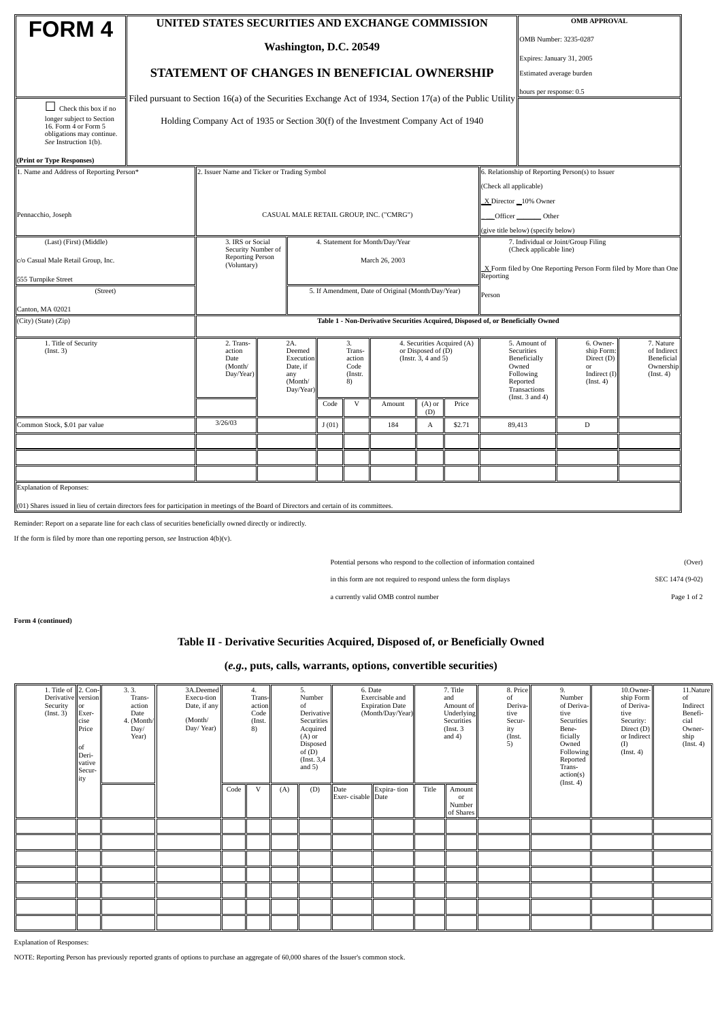| <b>FORM4</b>                                                                                                                                                                     |                                                                                                             | UNITED STATES SECURITIES AND EXCHANGE COMMISSION                                   |                                         | <b>OMB APPROVAL</b>                             |        |                                                                         |                         |        |                                                                  |                                                                              |                                                                          |                                                                  |  |  |  |
|----------------------------------------------------------------------------------------------------------------------------------------------------------------------------------|-------------------------------------------------------------------------------------------------------------|------------------------------------------------------------------------------------|-----------------------------------------|-------------------------------------------------|--------|-------------------------------------------------------------------------|-------------------------|--------|------------------------------------------------------------------|------------------------------------------------------------------------------|--------------------------------------------------------------------------|------------------------------------------------------------------|--|--|--|
|                                                                                                                                                                                  |                                                                                                             |                                                                                    |                                         |                                                 |        |                                                                         | OMB Number: 3235-0287   |        |                                                                  |                                                                              |                                                                          |                                                                  |  |  |  |
|                                                                                                                                                                                  | Washington, D.C. 20549                                                                                      |                                                                                    |                                         |                                                 |        |                                                                         |                         |        |                                                                  |                                                                              |                                                                          | Expires: January 31, 2005                                        |  |  |  |
|                                                                                                                                                                                  | STATEMENT OF CHANGES IN BENEFICIAL OWNERSHIP                                                                |                                                                                    |                                         |                                                 |        |                                                                         |                         |        |                                                                  |                                                                              | Estimated average burden                                                 |                                                                  |  |  |  |
|                                                                                                                                                                                  |                                                                                                             |                                                                                    |                                         |                                                 |        |                                                                         | hours per response: 0.5 |        |                                                                  |                                                                              |                                                                          |                                                                  |  |  |  |
| Check this box if no                                                                                                                                                             | Filed pursuant to Section 16(a) of the Securities Exchange Act of 1934, Section 17(a) of the Public Utility |                                                                                    |                                         |                                                 |        |                                                                         |                         |        |                                                                  |                                                                              |                                                                          |                                                                  |  |  |  |
| longer subject to Section<br>16. Form 4 or Form 5<br>obligations may continue.<br>See Instruction 1(b).                                                                          |                                                                                                             | Holding Company Act of 1935 or Section 30(f) of the Investment Company Act of 1940 |                                         |                                                 |        |                                                                         |                         |        |                                                                  |                                                                              |                                                                          |                                                                  |  |  |  |
| (Print or Type Responses)                                                                                                                                                        |                                                                                                             |                                                                                    |                                         |                                                 |        |                                                                         |                         |        |                                                                  |                                                                              |                                                                          |                                                                  |  |  |  |
| 1. Name and Address of Reporting Person*                                                                                                                                         |                                                                                                             | 2. Issuer Name and Ticker or Trading Symbol                                        |                                         |                                                 |        | 6. Relationship of Reporting Person(s) to Issuer                        |                         |        |                                                                  |                                                                              |                                                                          |                                                                  |  |  |  |
|                                                                                                                                                                                  |                                                                                                             |                                                                                    |                                         |                                                 |        |                                                                         |                         |        |                                                                  |                                                                              | (Check all applicable)                                                   |                                                                  |  |  |  |
|                                                                                                                                                                                  |                                                                                                             |                                                                                    |                                         |                                                 |        |                                                                         |                         |        |                                                                  |                                                                              | X Director 10% Owner                                                     |                                                                  |  |  |  |
| Pennacchio, Joseph                                                                                                                                                               |                                                                                                             |                                                                                    | CASUAL MALE RETAIL GROUP, INC. ("CMRG") |                                                 |        |                                                                         | Officer Other           |        |                                                                  |                                                                              |                                                                          |                                                                  |  |  |  |
|                                                                                                                                                                                  |                                                                                                             |                                                                                    |                                         |                                                 |        |                                                                         |                         |        |                                                                  | (give title below) (specify below)                                           |                                                                          |                                                                  |  |  |  |
| (Last) (First) (Middle)                                                                                                                                                          |                                                                                                             | 3. IRS or Social<br>Security Number of                                             |                                         | 4. Statement for Month/Day/Year                 |        |                                                                         |                         |        |                                                                  |                                                                              | 7. Individual or Joint/Group Filing<br>(Check applicable line)           |                                                                  |  |  |  |
| c/o Casual Male Retail Group, Inc.                                                                                                                                               | <b>Reporting Person</b><br>(Voluntary)                                                                      |                                                                                    | March 26, 2003                          |                                                 |        |                                                                         |                         |        | X Form filed by One Reporting Person Form filed by More than One |                                                                              |                                                                          |                                                                  |  |  |  |
| 555 Turnpike Street                                                                                                                                                              |                                                                                                             |                                                                                    |                                         |                                                 |        |                                                                         |                         |        |                                                                  | Reporting                                                                    |                                                                          |                                                                  |  |  |  |
| (Street)                                                                                                                                                                         |                                                                                                             | 5. If Amendment, Date of Original (Month/Day/Year)<br>Person                       |                                         |                                                 |        |                                                                         |                         |        |                                                                  |                                                                              |                                                                          |                                                                  |  |  |  |
| Canton, MA 02021                                                                                                                                                                 |                                                                                                             |                                                                                    |                                         |                                                 |        |                                                                         |                         |        |                                                                  |                                                                              |                                                                          |                                                                  |  |  |  |
| (City) (State) (Zip)                                                                                                                                                             | Table 1 - Non-Derivative Securities Acquired, Disposed of, or Beneficially Owned                            |                                                                                    |                                         |                                                 |        |                                                                         |                         |        |                                                                  |                                                                              |                                                                          |                                                                  |  |  |  |
| 1. Title of Security<br>(Inst. 3)                                                                                                                                                | 2. Trans-<br>action<br>Date<br>(Month/<br>Day/Year)                                                         | 2A.<br>Deemed<br>Execution<br>Date, if<br>any<br>(Month/                           |                                         | 3.<br>Trans-<br>action<br>Code<br>(Instr.<br>8) |        | 4. Securities Acquired (A)<br>or Disposed of (D)<br>(Instr. 3, 4 and 5) |                         |        |                                                                  | 5. Amount of<br>Securities<br>Beneficially<br>Owned<br>Following<br>Reported | 6. Owner-<br>ship Form:<br>Direct (D)<br>or<br>Indirect (I)<br>(Inst. 4) | 7. Nature<br>of Indirect<br>Beneficial<br>Ownership<br>(Inst. 4) |  |  |  |
|                                                                                                                                                                                  |                                                                                                             | Day/Year)                                                                          | Code                                    | $\mathbf V$                                     | Amount |                                                                         | $(A)$ or                | Price  |                                                                  | Transactions<br>(Inst. 3 and 4)                                              |                                                                          |                                                                  |  |  |  |
| Common Stock, \$.01 par value                                                                                                                                                    | 3/26/03                                                                                                     |                                                                                    | J(01)                                   |                                                 | 184    |                                                                         | (D)<br>A                | \$2.71 |                                                                  | 89,413                                                                       | D                                                                        |                                                                  |  |  |  |
|                                                                                                                                                                                  |                                                                                                             |                                                                                    |                                         |                                                 |        |                                                                         |                         |        |                                                                  |                                                                              |                                                                          |                                                                  |  |  |  |
|                                                                                                                                                                                  |                                                                                                             |                                                                                    |                                         |                                                 |        |                                                                         |                         |        |                                                                  |                                                                              |                                                                          |                                                                  |  |  |  |
|                                                                                                                                                                                  |                                                                                                             |                                                                                    |                                         |                                                 |        |                                                                         |                         |        |                                                                  |                                                                              |                                                                          |                                                                  |  |  |  |
|                                                                                                                                                                                  |                                                                                                             |                                                                                    |                                         |                                                 |        |                                                                         |                         |        |                                                                  |                                                                              |                                                                          |                                                                  |  |  |  |
| <b>Explanation of Reponses:</b><br>$(01)$ Shares issued in lieu of certain directors fees for participation in meetings of the Board of Directors and certain of its committees. |                                                                                                             |                                                                                    |                                         |                                                 |        |                                                                         |                         |        |                                                                  |                                                                              |                                                                          |                                                                  |  |  |  |

Reminder: Report on a separate line for each class of securities beneficially owned directly or indirectly.

If the form is filed by more than one reporting person, *see* Instruction 4(b)(v).

Potential persons who respond to the collection of information contained (Over)

in this form are not required to respond unless the form displays SEC 1474 (9-02)

a currently valid OMB control number Page 1 of 2

**Form 4 (continued)**

## **Table II - Derivative Securities Acquired, Disposed of, or Beneficially Owned**

## **(***e.g.***, puts, calls, warrants, options, convertible securities)**

| 1. Title of $\ $ 2. Con-<br>Derivative version<br>Security<br>(Inst. 3) | $\overline{\text{lor}}$<br>Exer-<br>cise<br>Price<br>lof<br>Deri-<br>vative<br>Secur-<br>ity | 3.3.<br>Trans-<br>action<br>Date<br>4. (Month/<br>Day/<br>Year) | 3A.Deemed<br>Execu-tion<br>Date, if any<br>(Month/<br>Day/Year) | 4.<br>Trans-<br>action<br>Code<br>(Inst.<br>$\left( 8\right)$ |              | 5.<br>Number<br>of<br>Derivative<br>Securities<br>Acquired<br>$(A)$ or<br>Disposed<br>of $(D)$<br>(Inst. 3,4)<br>and $5)$ |     | 6. Date<br>Exercisable and<br><b>Expiration Date</b><br>(Month/Day/Year) |             | 7. Title<br>and<br>Amount of<br>Underlying<br><b>Securities</b><br>(Inst. 3)<br>and $4)$ |                                     | 8. Price<br>of<br>Deriva-<br>tive<br>Secur-<br>ity<br>(Inst.<br>5) | 9.<br>Number<br>of Deriva-<br>tive<br><b>Securities</b><br>Bene-<br>ficially<br>Owned<br>Following<br>Reported<br>Trans-<br>action(s) | 10.Owner-<br>ship Form<br>of Deriva-<br>tive<br>Security:<br>Direct (D)<br>or Indirect<br>$(I)$<br>(Inst. 4) | 11.Nature<br>of<br>Indirect<br>Benefi-<br>cial<br>Owner-<br>ship<br>(Inst. 4) |
|-------------------------------------------------------------------------|----------------------------------------------------------------------------------------------|-----------------------------------------------------------------|-----------------------------------------------------------------|---------------------------------------------------------------|--------------|---------------------------------------------------------------------------------------------------------------------------|-----|--------------------------------------------------------------------------|-------------|------------------------------------------------------------------------------------------|-------------------------------------|--------------------------------------------------------------------|---------------------------------------------------------------------------------------------------------------------------------------|--------------------------------------------------------------------------------------------------------------|-------------------------------------------------------------------------------|
|                                                                         |                                                                                              |                                                                 |                                                                 | Code                                                          | $\mathbf{V}$ | (A)                                                                                                                       | (D) | Date<br>Exer-cisable Date                                                | Expira-tion | Title                                                                                    | Amount<br>or<br>Number<br>of Shares |                                                                    | (Inst. 4)                                                                                                                             |                                                                                                              |                                                                               |
|                                                                         |                                                                                              |                                                                 |                                                                 |                                                               |              |                                                                                                                           |     |                                                                          |             |                                                                                          |                                     |                                                                    |                                                                                                                                       |                                                                                                              |                                                                               |
|                                                                         |                                                                                              |                                                                 |                                                                 |                                                               |              |                                                                                                                           |     |                                                                          |             |                                                                                          |                                     |                                                                    |                                                                                                                                       |                                                                                                              |                                                                               |
|                                                                         |                                                                                              |                                                                 |                                                                 |                                                               |              |                                                                                                                           |     |                                                                          |             |                                                                                          |                                     |                                                                    |                                                                                                                                       |                                                                                                              |                                                                               |
|                                                                         |                                                                                              |                                                                 |                                                                 |                                                               |              |                                                                                                                           |     |                                                                          |             |                                                                                          |                                     |                                                                    |                                                                                                                                       |                                                                                                              |                                                                               |
|                                                                         |                                                                                              |                                                                 |                                                                 |                                                               |              |                                                                                                                           |     |                                                                          |             |                                                                                          |                                     |                                                                    |                                                                                                                                       |                                                                                                              |                                                                               |
|                                                                         |                                                                                              |                                                                 |                                                                 |                                                               |              |                                                                                                                           |     |                                                                          |             |                                                                                          |                                     |                                                                    |                                                                                                                                       |                                                                                                              |                                                                               |
|                                                                         |                                                                                              |                                                                 |                                                                 |                                                               |              |                                                                                                                           |     |                                                                          |             |                                                                                          |                                     |                                                                    |                                                                                                                                       |                                                                                                              |                                                                               |

Explanation of Responses:

NOTE: Reporting Person has previously reported grants of options to purchase an aggregate of 60,000 shares of the Issuer's common stock.